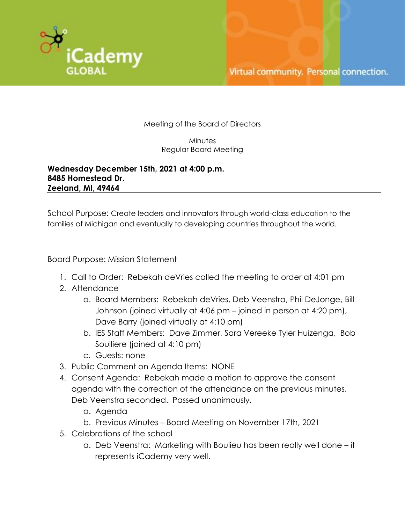

Meeting of the Board of Directors

Minutes Regular Board Meeting

**Wednesday December 15th, 2021 at 4:00 p.m. 8485 Homestead Dr. Zeeland, MI, 49464**

School Purpose: Create leaders and innovators through world-class education to the families of Michigan and eventually to developing countries throughout the world.

Board Purpose: Mission Statement

- 1. Call to Order: Rebekah deVries called the meeting to order at 4:01 pm
- 2. Attendance
	- a. Board Members: Rebekah deVries, Deb Veenstra, Phil DeJonge, Bill Johnson (joined virtually at 4:06 pm – joined in person at 4:20 pm), Dave Barry (joined virtually at 4:10 pm)
	- b. IES Staff Members: Dave Zimmer, Sara Vereeke Tyler Huizenga, Bob Soulliere (joined at 4:10 pm)
	- c. Guests: none
- 3. Public Comment on Agenda Items: NONE
- 4. Consent Agenda: Rebekah made a motion to approve the consent agenda with the correction of the attendance on the previous minutes. Deb Veenstra seconded. Passed unanimously.
	- a. Agenda
	- b. Previous Minutes Board Meeting on November 17th, 2021
- 5. Celebrations of the school
	- a. Deb Veenstra: Marketing with Boulieu has been really well done it represents iCademy very well.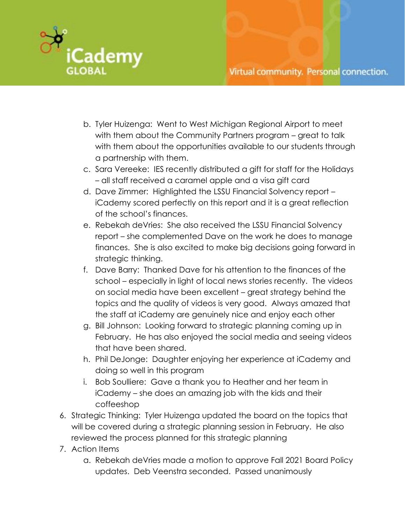

- b. Tyler Huizenga: Went to West Michigan Regional Airport to meet with them about the Community Partners program – great to talk with them about the opportunities available to our students through a partnership with them.
- c. Sara Vereeke: IES recently distributed a gift for staff for the Holidays – all staff received a caramel apple and a visa gift card
- d. Dave Zimmer: Highlighted the LSSU Financial Solvency report iCademy scored perfectly on this report and it is a great reflection of the school's finances.
- e. Rebekah deVries: She also received the LSSU Financial Solvency report – she complemented Dave on the work he does to manage finances. She is also excited to make big decisions going forward in strategic thinking.
- f. Dave Barry: Thanked Dave for his attention to the finances of the school – especially in light of local news stories recently. The videos on social media have been excellent – great strategy behind the topics and the quality of videos is very good. Always amazed that the staff at iCademy are genuinely nice and enjoy each other
- g. Bill Johnson: Looking forward to strategic planning coming up in February. He has also enjoyed the social media and seeing videos that have been shared.
- h. Phil DeJonge: Daughter enjoying her experience at iCademy and doing so well in this program
- i. Bob Soulliere: Gave a thank you to Heather and her team in iCademy – she does an amazing job with the kids and their coffeeshop
- 6. Strategic Thinking: Tyler Huizenga updated the board on the topics that will be covered during a strategic planning session in February. He also reviewed the process planned for this strategic planning
- 7. Action Items
	- a. Rebekah deVries made a motion to approve Fall 2021 Board Policy updates. Deb Veenstra seconded. Passed unanimously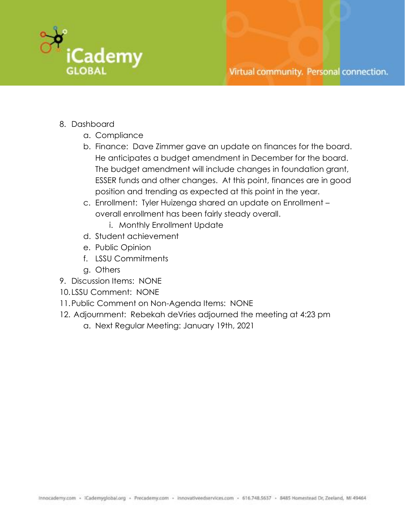

## Virtual community. Personal connection.

- 8. Dashboard
	- a. Compliance
	- b. Finance: Dave Zimmer gave an update on finances for the board. He anticipates a budget amendment in December for the board. The budget amendment will include changes in foundation grant, ESSER funds and other changes. At this point, finances are in good position and trending as expected at this point in the year.
	- c. Enrollment: Tyler Huizenga shared an update on Enrollment overall enrollment has been fairly steady overall.
		- i. Monthly Enrollment Update
	- d. Student achievement
	- e. Public Opinion
	- f. LSSU Commitments
	- g. Others
- 9. Discussion Items: NONE
- 10. LSSU Comment: NONE
- 11.Public Comment on Non-Agenda Items: NONE
- 12. Adjournment: Rebekah deVries adjourned the meeting at 4:23 pm a. Next Regular Meeting: January 19th, 2021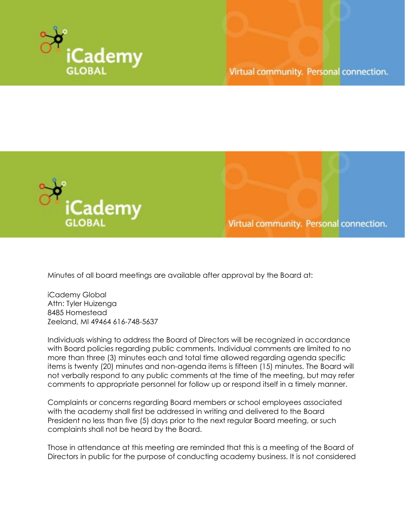



Virtual community. Personal connection.

Minutes of all board meetings are available after approval by the Board at:

iCademy Global Attn: Tyler Huizenga 8485 Homestead Zeeland, MI 49464 616-748-5637

Individuals wishing to address the Board of Directors will be recognized in accordance with Board policies regarding public comments. Individual comments are limited to no more than three (3) minutes each and total time allowed regarding agenda specific items is twenty (20) minutes and non-agenda items is fifteen (15) minutes. The Board will not verbally respond to any public comments at the time of the meeting, but may refer comments to appropriate personnel for follow up or respond itself in a timely manner.

Complaints or concerns regarding Board members or school employees associated with the academy shall first be addressed in writing and delivered to the Board President no less than five (5) days prior to the next regular Board meeting, or such complaints shall not be heard by the Board.

Those in attendance at this meeting are reminded that this is a meeting of the Board of Directors in public for the purpose of conducting academy business. It is not considered